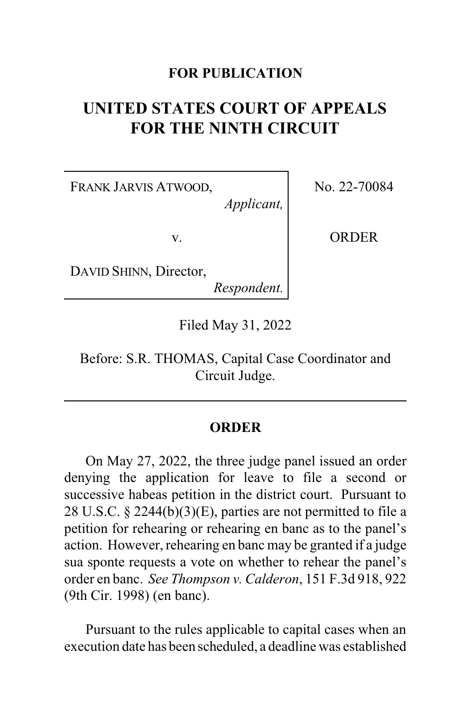## **FOR PUBLICATION**

## **UNITED STATES COURT OF APPEALS FOR THE NINTH CIRCUIT**

FRANK JARVIS ATWOOD,

No. 22-70084

v.

**ORDER** 

DAVID SHINN, Director,

*Respondent.*

*Applicant,*

Filed May 31, 2022

Before: S.R. THOMAS, Capital Case Coordinator and Circuit Judge.

## **ORDER**

On May 27, 2022, the three judge panel issued an order denying the application for leave to file a second or successive habeas petition in the district court. Pursuant to 28 U.S.C. § 2244(b)(3)(E), parties are not permitted to file a petition for rehearing or rehearing en banc as to the panel's action. However, rehearing en banc may be granted if a judge sua sponte requests a vote on whether to rehear the panel's order en banc. *See Thompson v. Calderon*, 151 F.3d 918, 922 (9th Cir. 1998) (en banc).

Pursuant to the rules applicable to capital cases when an execution date has been scheduled, a deadline was established